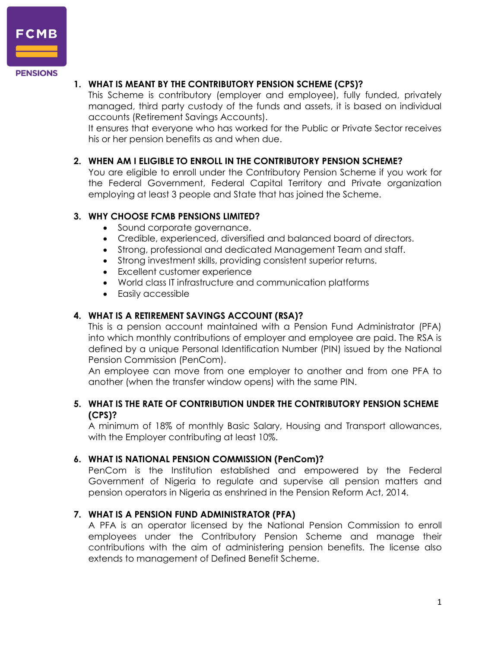

### **PENSIONS**

### **1. WHAT IS MEANT BY THE CONTRIBUTORY PENSION SCHEME (CPS)?**

This Scheme is contributory (employer and employee), fully funded, privately managed, third party custody of the funds and assets, it is based on individual accounts (Retirement Savings Accounts).

It ensures that everyone who has worked for the Public or Private Sector receives his or her pension benefits as and when due.

#### **2. WHEN AM I ELIGIBLE TO ENROLL IN THE CONTRIBUTORY PENSION SCHEME?**

You are eligible to enroll under the Contributory Pension Scheme if you work for the Federal Government, Federal Capital Territory and Private organization employing at least 3 people and State that has joined the Scheme.

### **3. WHY CHOOSE FCMB PENSIONS LIMITED?**

- Sound corporate governance.
- Credible, experienced, diversified and balanced board of directors.
- Strong, professional and dedicated Management Team and staff.
- Strong investment skills, providing consistent superior returns.
- Excellent customer experience
- World class IT infrastructure and communication platforms
- Easily accessible

## **4. WHAT IS A RETIREMENT SAVINGS ACCOUNT (RSA)?**

This is a pension account maintained with a Pension Fund Administrator (PFA) into which monthly contributions of employer and employee are paid. The RSA is defined by a unique Personal Identification Number (PIN) issued by the National Pension Commission (PenCom).

An employee can move from one employer to another and from one PFA to another (when the transfer window opens) with the same PIN.

#### **5. WHAT IS THE RATE OF CONTRIBUTION UNDER THE CONTRIBUTORY PENSION SCHEME (CPS)?**

A minimum of 18% of monthly Basic Salary, Housing and Transport allowances, with the Employer contributing at least 10%.

#### **6. WHAT IS NATIONAL PENSION COMMISSION (PenCom)?**

PenCom is the Institution established and empowered by the Federal Government of Nigeria to regulate and supervise all pension matters and pension operators in Nigeria as enshrined in the Pension Reform Act, 2014.

#### **7. WHAT IS A PENSION FUND ADMINISTRATOR (PFA)**

A PFA is an operator licensed by the National Pension Commission to enroll employees under the Contributory Pension Scheme and manage their contributions with the aim of administering pension benefits. The license also extends to management of Defined Benefit Scheme.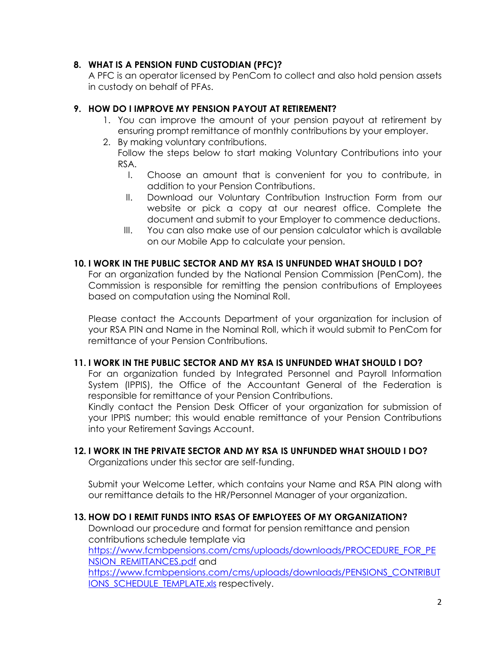## **8. WHAT IS A PENSION FUND CUSTODIAN (PFC)?**

A PFC is an operator licensed by PenCom to collect and also hold pension assets in custody on behalf of PFAs.

## **9. HOW DO I IMPROVE MY PENSION PAYOUT AT RETIREMENT?**

- 1. You can improve the amount of your pension payout at retirement by ensuring prompt remittance of monthly contributions by your employer.
- 2. By making voluntary contributions. Follow the steps below to start making Voluntary Contributions into your RSA.
	- I. Choose an amount that is convenient for you to contribute, in addition to your Pension Contributions.
	- II. Download our Voluntary Contribution Instruction Form from our website or pick a copy at our nearest office. Complete the document and submit to your Employer to commence deductions.
	- III. You can also make use of our pension calculator which is available on our Mobile App to calculate your pension.

## **10. I WORK IN THE PUBLIC SECTOR AND MY RSA IS UNFUNDED WHAT SHOULD I DO?**

For an organization funded by the National Pension Commission (PenCom), the Commission is responsible for remitting the pension contributions of Employees based on computation using the Nominal Roll.

Please contact the Accounts Department of your organization for inclusion of your RSA PIN and Name in the Nominal Roll, which it would submit to PenCom for remittance of your Pension Contributions.

## **11. I WORK IN THE PUBLIC SECTOR AND MY RSA IS UNFUNDED WHAT SHOULD I DO?**

For an organization funded by Integrated Personnel and Payroll Information System (IPPIS), the Office of the Accountant General of the Federation is responsible for remittance of your Pension Contributions.

Kindly contact the Pension Desk Officer of your organization for submission of your IPPIS number; this would enable remittance of your Pension Contributions into your Retirement Savings Account.

# **12. I WORK IN THE PRIVATE SECTOR AND MY RSA IS UNFUNDED WHAT SHOULD I DO?**

Organizations under this sector are self-funding.

Submit your Welcome Letter, which contains your Name and RSA PIN along with our remittance details to the HR/Personnel Manager of your organization.

## **13. HOW DO I REMIT FUNDS INTO RSAS OF EMPLOYEES OF MY ORGANIZATION?**

Download our procedure and format for pension remittance and pension contributions schedule template via [https://www.fcmbpensions.com/cms/uploads/downloads/PROCEDURE\\_FOR\\_PE](https://www.fcmbpensions.com/cms/uploads/downloads/PROCEDURE_FOR_PENSION_REMITTANCES.pdf) [NSION\\_REMITTANCES.pdf](https://www.fcmbpensions.com/cms/uploads/downloads/PROCEDURE_FOR_PENSION_REMITTANCES.pdf) and [https://www.fcmbpensions.com/cms/uploads/downloads/PENSIONS\\_CONTRIBUT](https://www.fcmbpensions.com/cms/uploads/downloads/PENSIONS_CONTRIBUTIONS_SCHEDULE_TEMPLATE.xls) [IONS\\_SCHEDULE\\_TEMPLATE.xls](https://www.fcmbpensions.com/cms/uploads/downloads/PENSIONS_CONTRIBUTIONS_SCHEDULE_TEMPLATE.xls) respectively.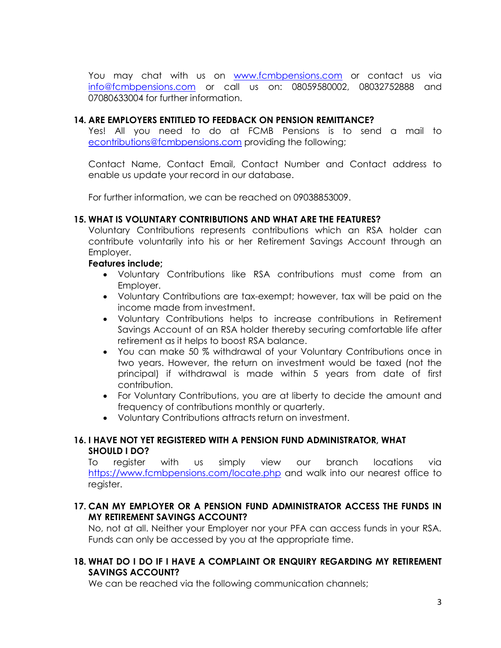You may chat with us on [www.fcmbpensions.com](http://www.fcmbpensions.com/) or contact us via [info@fcmbpensions.com](mailto:info@fcmbpensions.com) or call us on: 08059580002, 08032752888 and 07080633004 for further information.

### **14. ARE EMPLOYERS ENTITLED TO FEEDBACK ON PENSION REMITTANCE?**

Yes! All you need to do at FCMB Pensions is to send a mail to [econtributions@fcmbpensions.com](mailto:econtributions@fcmbpensions.com) providing the following;

Contact Name, Contact Email, Contact Number and Contact address to enable us update your record in our database.

For further information, we can be reached on 09038853009.

#### **15. WHAT IS VOLUNTARY CONTRIBUTIONS AND WHAT ARE THE FEATURES?**

Voluntary Contributions represents contributions which an RSA holder can contribute voluntarily into his or her Retirement Savings Account through an Employer.

#### **Features include;**

- Voluntary Contributions like RSA contributions must come from an Employer.
- Voluntary Contributions are tax-exempt; however, tax will be paid on the income made from investment.
- Voluntary Contributions helps to increase contributions in Retirement Savings Account of an RSA holder thereby securing comfortable life after retirement as it helps to boost RSA balance.
- You can make 50 % withdrawal of your Voluntary Contributions once in two years. However, the return on investment would be taxed (not the principal) if withdrawal is made within 5 years from date of first contribution.
- For Voluntary Contributions, you are at liberty to decide the amount and frequency of contributions monthly or quarterly.
- Voluntary Contributions attracts return on investment.

### **16. I HAVE NOT YET REGISTERED WITH A PENSION FUND ADMINISTRATOR, WHAT SHOULD I DO?**

To register with us simply view our branch locations via <https://www.fcmbpensions.com/locate.php> and walk into our nearest office to register.

### **17. CAN MY EMPLOYER OR A PENSION FUND ADMINISTRATOR ACCESS THE FUNDS IN MY RETIREMENT SAVINGS ACCOUNT?**

No, not at all. Neither your Employer nor your PFA can access funds in your RSA. Funds can only be accessed by you at the appropriate time.

### **18. WHAT DO I DO IF I HAVE A COMPLAINT OR ENQUIRY REGARDING MY RETIREMENT SAVINGS ACCOUNT?**

We can be reached via the following communication channels;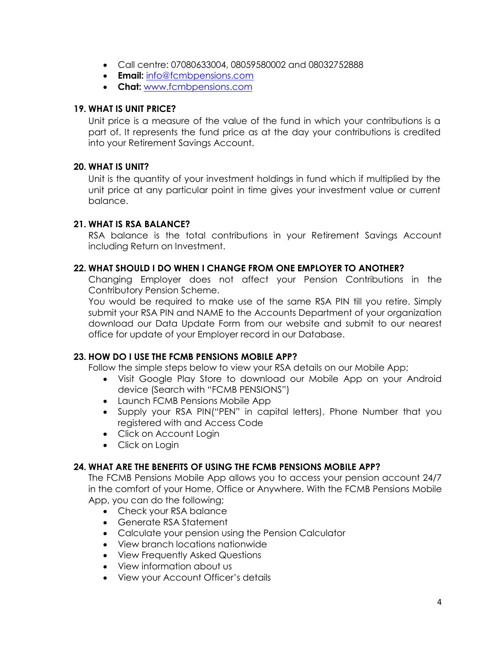- Call centre: 07080633004, 08059580002 and 08032752888
- **Email:** [info@fcmbpensions.com](mailto:info@fcmbpensions.com)
- **Chat:** [www.fcmbpensions.com](http://www.fcmbpensions.com/)

#### **19. WHAT IS UNIT PRICE?**

Unit price is a measure of the value of the fund in which your contributions is a part of. It represents the fund price as at the day your contributions is credited into your Retirement Savings Account.

### **20. WHAT IS UNIT?**

Unit is the quantity of your investment holdings in fund which if multiplied by the unit price at any particular point in time gives your investment value or current balance.

### **21. WHAT IS RSA BALANCE?**

RSA balance is the total contributions in your Retirement Savings Account including Return on Investment.

### **22. WHAT SHOULD I DO WHEN I CHANGE FROM ONE EMPLOYER TO ANOTHER?**

Changing Employer does not affect your Pension Contributions in the Contributory Pension Scheme.

You would be required to make use of the same RSA PIN till you retire. Simply submit your RSA PIN and NAME to the Accounts Department of your organization download our Data Update Form from our website and submit to our nearest office for update of your Employer record in our Database.

## **23. HOW DO I USE THE FCMB PENSIONS MOBILE APP?**

Follow the simple steps below to view your RSA details on our Mobile App;

- Visit Google Play Store to download our Mobile App on your Android device (Search with "FCMB PENSIONS")
- Launch FCMB Pensions Mobile App
- Supply your RSA PIN("PEN" in capital letters), Phone Number that you registered with and Access Code
- Click on Account Login
- Click on Login

## **24. WHAT ARE THE BENEFITS OF USING THE FCMB PENSIONS MOBILE APP?**

The FCMB Pensions Mobile App allows you to access your pension account 24/7 in the comfort of your Home, Office or Anywhere. With the FCMB Pensions Mobile App, you can do the following;

- Check your RSA balance
- Generate RSA Statement
- Calculate your pension using the Pension Calculator
- View branch locations nationwide
- View Frequently Asked Questions
- View information about us
- View your Account Officer's details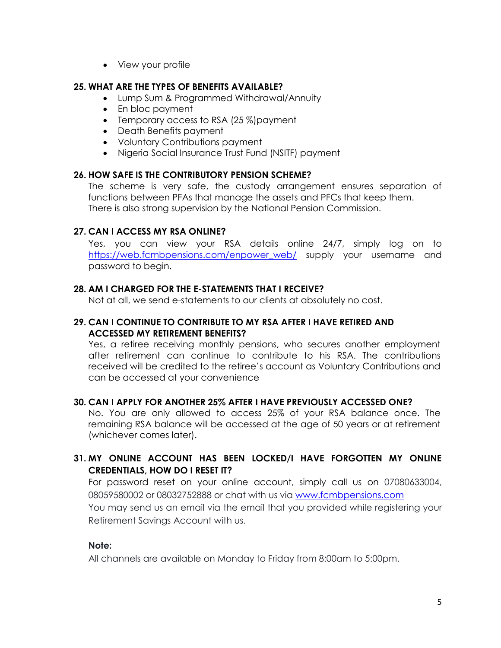• View your profile

### **25. WHAT ARE THE TYPES OF BENEFITS AVAILABLE?**

- Lump Sum & Programmed Withdrawal/Annuity
- En bloc payment
- Temporary access to RSA (25 %) payment
- Death Benefits payment
- Voluntary Contributions payment
- Nigeria Social Insurance Trust Fund (NSITF) payment

## **26. HOW SAFE IS THE CONTRIBUTORY PENSION SCHEME?**

The scheme is very safe, the custody arrangement ensures separation of functions between PFAs that manage the assets and PFCs that keep them. There is also strong supervision by the National Pension Commission.

## **27. CAN I ACCESS MY RSA ONLINE?**

Yes, you can view your RSA details online 24/7, simply log on to [https://web.fcmbpensions.com/enpower\\_web/](https://web.fcmbpensions.com/enpower_web/) supply your username and password to begin.

## **28. AM I CHARGED FOR THE E-STATEMENTS THAT I RECEIVE?**

Not at all, we send e-statements to our clients at absolutely no cost.

## **29. CAN I CONTINUE TO CONTRIBUTE TO MY RSA AFTER I HAVE RETIRED AND ACCESSED MY RETIREMENT BENEFITS?**

Yes, a retiree receiving monthly pensions, who secures another employment after retirement can continue to contribute to his RSA. The contributions received will be credited to the retiree's account as Voluntary Contributions and can be accessed at your convenience

## **30. CAN I APPLY FOR ANOTHER 25% AFTER I HAVE PREVIOUSLY ACCESSED ONE?**

No. You are only allowed to access 25% of your RSA balance once. The remaining RSA balance will be accessed at the age of 50 years or at retirement (whichever comes later).

# **31. MY ONLINE ACCOUNT HAS BEEN LOCKED/I HAVE FORGOTTEN MY ONLINE CREDENTIALS, HOW DO I RESET IT?**

For password reset on your online account, simply call us on 07080633004, 08059580002 or 08032752888 or chat with us via [www.fcmbpensions.com](http://www.fcmbpensions.com/)

You may send us an email via the email that you provided while registering your Retirement Savings Account with us.

## **Note:**

All channels are available on Monday to Friday from 8:00am to 5:00pm.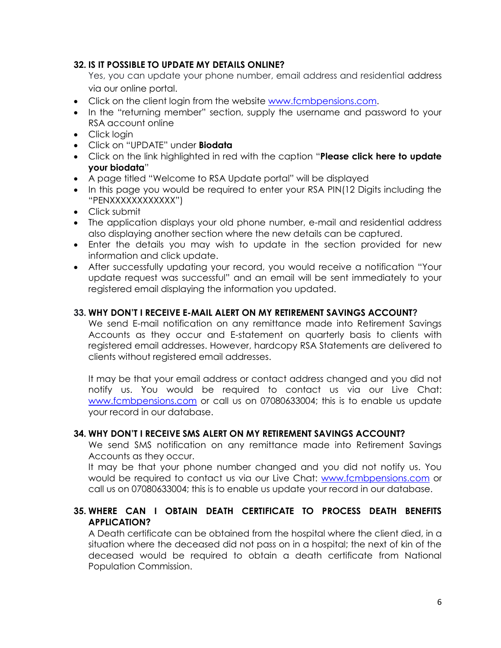## **32. IS IT POSSIBLE TO UPDATE MY DETAILS ONLINE?**

Yes, you can update your phone number, email address and residential address via our online portal.

- Click on the client login from the website [www.fcmbpensions.com.](http://www.fcmbpensions.com/)
- In the "returning member" section, supply the username and password to your RSA account online
- Click login
- Click on "UPDATE" under **Biodata**
- Click on the link highlighted in red with the caption "**Please click here to update your biodata**"
- A page titled "Welcome to RSA Update portal" will be displayed
- In this page you would be required to enter your RSA PIN(12 Digits including the "PENXXXXXXXXXXXX")
- Click submit
- The application displays your old phone number, e-mail and residential address also displaying another section where the new details can be captured.
- Enter the details you may wish to update in the section provided for new information and click update.
- After successfully updating your record, you would receive a notification "Your update request was successful" and an email will be sent immediately to your registered email displaying the information you updated.

### **33. WHY DON'T I RECEIVE E-MAIL ALERT ON MY RETIREMENT SAVINGS ACCOUNT?**

We send E-mail notification on any remittance made into Retirement Savings Accounts as they occur and E-statement on quarterly basis to clients with registered email addresses. However, hardcopy RSA Statements are delivered to clients without registered email addresses.

It may be that your email address or contact address changed and you did not notify us. You would be required to contact us via our Live Chat: [www.fcmbpensions.com](http://www.fcmbpensions.com/) or call us on 07080633004; this is to enable us update your record in our database.

#### **34. WHY DON'T I RECEIVE SMS ALERT ON MY RETIREMENT SAVINGS ACCOUNT?**

We send SMS notification on any remittance made into Retirement Savings Accounts as they occur.

It may be that your phone number changed and you did not notify us. You would be required to contact us via our Live Chat: [www.fcmbpensions.com](http://www.fcmbpensions.com/) or call us on 07080633004; this is to enable us update your record in our database.

### **35. WHERE CAN I OBTAIN DEATH CERTIFICATE TO PROCESS DEATH BENEFITS APPLICATION?**

A Death certificate can be obtained from the hospital where the client died, in a situation where the deceased did not pass on in a hospital; the next of kin of the deceased would be required to obtain a death certificate from National Population Commission.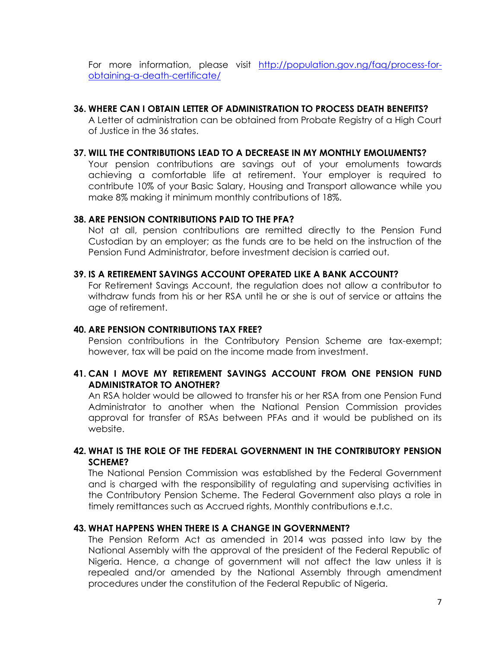For more information, please visit [http://population.gov.ng/faq/process-for](http://population.gov.ng/faq/process-for-obtaining-a-death-certificate/)[obtaining-a-death-certificate/](http://population.gov.ng/faq/process-for-obtaining-a-death-certificate/)

### **36. WHERE CAN I OBTAIN LETTER OF ADMINISTRATION TO PROCESS DEATH BENEFITS?**

A Letter of administration can be obtained from Probate Registry of a High Court of Justice in the 36 states.

### **37. WILL THE CONTRIBUTIONS LEAD TO A DECREASE IN MY MONTHLY EMOLUMENTS?**

Your pension contributions are savings out of your emoluments towards achieving a comfortable life at retirement. Your employer is required to contribute 10% of your Basic Salary, Housing and Transport allowance while you make 8% making it minimum monthly contributions of 18%.

#### **38. ARE PENSION CONTRIBUTIONS PAID TO THE PFA?**

Not at all, pension contributions are remitted directly to the Pension Fund Custodian by an employer; as the funds are to be held on the instruction of the Pension Fund Administrator, before investment decision is carried out.

### **39. IS A RETIREMENT SAVINGS ACCOUNT OPERATED LIKE A BANK ACCOUNT?**

For Retirement Savings Account, the regulation does not allow a contributor to withdraw funds from his or her RSA until he or she is out of service or attains the age of retirement.

### **40. ARE PENSION CONTRIBUTIONS TAX FREE?**

Pension contributions in the Contributory Pension Scheme are tax-exempt; however, tax will be paid on the income made from investment.

### **41. CAN I MOVE MY RETIREMENT SAVINGS ACCOUNT FROM ONE PENSION FUND ADMINISTRATOR TO ANOTHER?**

An RSA holder would be allowed to transfer his or her RSA from one Pension Fund Administrator to another when the National Pension Commission provides approval for transfer of RSAs between PFAs and it would be published on its website.

### **42. WHAT IS THE ROLE OF THE FEDERAL GOVERNMENT IN THE CONTRIBUTORY PENSION SCHEME?**

The National Pension Commission was established by the Federal Government and is charged with the responsibility of regulating and supervising activities in the Contributory Pension Scheme. The Federal Government also plays a role in timely remittances such as Accrued rights, Monthly contributions e.t.c.

## **43. WHAT HAPPENS WHEN THERE IS A CHANGE IN GOVERNMENT?**

The Pension Reform Act as amended in 2014 was passed into law by the National Assembly with the approval of the president of the Federal Republic of Nigeria. Hence, a change of government will not affect the law unless it is repealed and/or amended by the National Assembly through amendment procedures under the constitution of the Federal Republic of Nigeria.